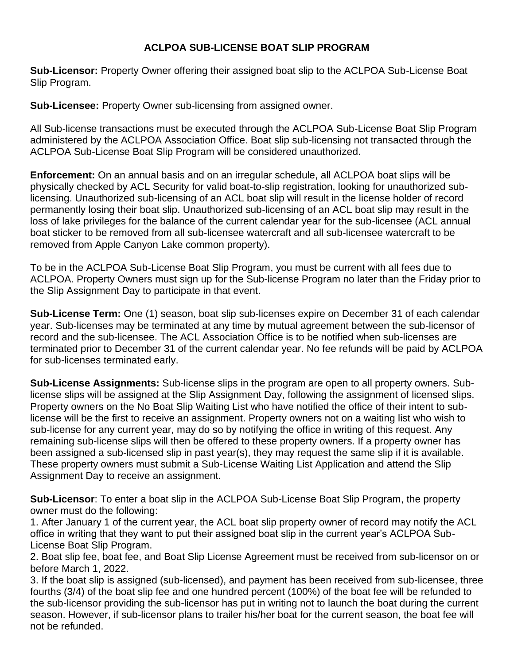## **ACLPOA SUB-LICENSE BOAT SLIP PROGRAM**

**Sub-Licensor:** Property Owner offering their assigned boat slip to the ACLPOA Sub-License Boat Slip Program.

**Sub-Licensee:** Property Owner sub-licensing from assigned owner.

All Sub-license transactions must be executed through the ACLPOA Sub-License Boat Slip Program administered by the ACLPOA Association Office. Boat slip sub-licensing not transacted through the ACLPOA Sub-License Boat Slip Program will be considered unauthorized.

**Enforcement:** On an annual basis and on an irregular schedule, all ACLPOA boat slips will be physically checked by ACL Security for valid boat-to-slip registration, looking for unauthorized sublicensing. Unauthorized sub-licensing of an ACL boat slip will result in the license holder of record permanently losing their boat slip. Unauthorized sub-licensing of an ACL boat slip may result in the loss of lake privileges for the balance of the current calendar year for the sub-licensee (ACL annual boat sticker to be removed from all sub-licensee watercraft and all sub-licensee watercraft to be removed from Apple Canyon Lake common property).

To be in the ACLPOA Sub-License Boat Slip Program, you must be current with all fees due to ACLPOA. Property Owners must sign up for the Sub-license Program no later than the Friday prior to the Slip Assignment Day to participate in that event.

**Sub-License Term:** One (1) season, boat slip sub-licenses expire on December 31 of each calendar year. Sub-licenses may be terminated at any time by mutual agreement between the sub-licensor of record and the sub-licensee. The ACL Association Office is to be notified when sub-licenses are terminated prior to December 31 of the current calendar year. No fee refunds will be paid by ACLPOA for sub-licenses terminated early.

**Sub-License Assignments:** Sub-license slips in the program are open to all property owners. Sublicense slips will be assigned at the Slip Assignment Day, following the assignment of licensed slips. Property owners on the No Boat Slip Waiting List who have notified the office of their intent to sublicense will be the first to receive an assignment. Property owners not on a waiting list who wish to sub-license for any current year, may do so by notifying the office in writing of this request. Any remaining sub-license slips will then be offered to these property owners. If a property owner has been assigned a sub-licensed slip in past year(s), they may request the same slip if it is available. These property owners must submit a Sub-License Waiting List Application and attend the Slip Assignment Day to receive an assignment.

**Sub-Licensor**: To enter a boat slip in the ACLPOA Sub-License Boat Slip Program, the property owner must do the following:

1. After January 1 of the current year, the ACL boat slip property owner of record may notify the ACL office in writing that they want to put their assigned boat slip in the current year's ACLPOA Sub-License Boat Slip Program.

2. Boat slip fee, boat fee, and Boat Slip License Agreement must be received from sub-licensor on or before March 1, 2022.

3. If the boat slip is assigned (sub-licensed), and payment has been received from sub-licensee, three fourths (3/4) of the boat slip fee and one hundred percent (100%) of the boat fee will be refunded to the sub-licensor providing the sub-licensor has put in writing not to launch the boat during the current season. However, if sub-licensor plans to trailer his/her boat for the current season, the boat fee will not be refunded.